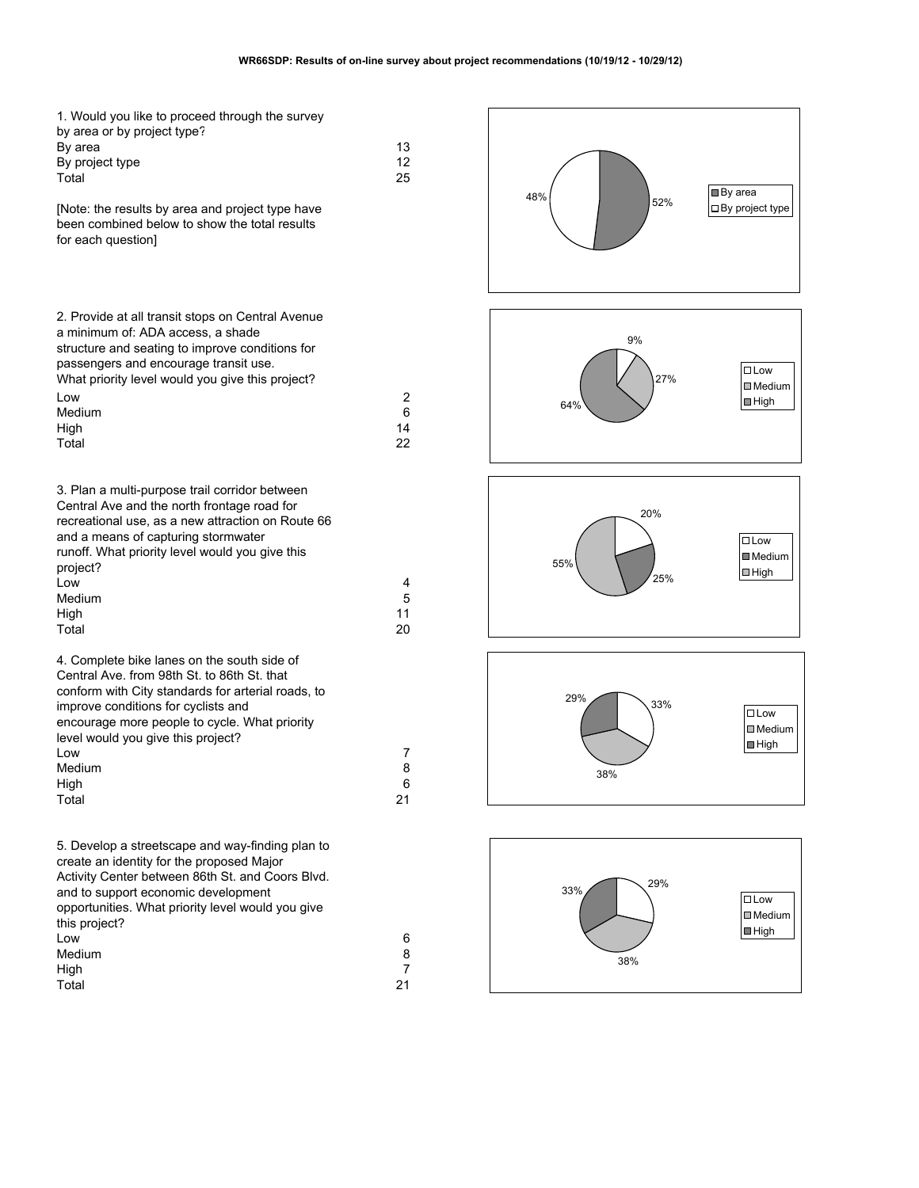| 1. Would you like to proceed through the survey<br>by area or by project type?<br>By area<br>By project type<br>Total                                                                                                                                                                           | 13<br>12<br>25     | 48 |
|-------------------------------------------------------------------------------------------------------------------------------------------------------------------------------------------------------------------------------------------------------------------------------------------------|--------------------|----|
| [Note: the results by area and project type have<br>been combined below to show the total results<br>for each question]                                                                                                                                                                         |                    |    |
| 2. Provide at all transit stops on Central Avenue<br>a minimum of: ADA access, a shade<br>structure and seating to improve conditions for<br>passengers and encourage transit use.<br>What priority level would you give this project?<br>Low                                                   | 2                  |    |
| Medium<br>High<br>Total                                                                                                                                                                                                                                                                         | 6<br>14<br>22      |    |
| 3. Plan a multi-purpose trail corridor between<br>Central Ave and the north frontage road for<br>recreational use, as a new attraction on Route 66<br>and a means of capturing stormwater<br>runoff. What priority level would you give this<br>project?                                        |                    |    |
| Low<br>Medium<br>High<br>Total                                                                                                                                                                                                                                                                  | 4<br>5<br>11<br>20 |    |
| 4. Complete bike lanes on the south side of<br>Central Ave. from 98th St. to 86th St. that<br>conform with City standards for arterial roads, to<br>improve conditions for cyclists and<br>encourage more people to cycle. What priority<br>level would you give this project?<br>Low<br>Medium | 7<br>8             |    |
| High<br>Total                                                                                                                                                                                                                                                                                   | 6<br>21            |    |
| 5. Develop a streetscape and way-finding plan to<br>create an identity for the proposed Major<br>Activity Center between 86th St. and Coors Blvd.<br>and to support economic development<br>opportunities. What priority level would you give<br>this project?<br>Low                           | 6                  |    |
| Medium<br>High                                                                                                                                                                                                                                                                                  | 8<br>7<br>21       |    |
| Total                                                                                                                                                                                                                                                                                           |                    |    |

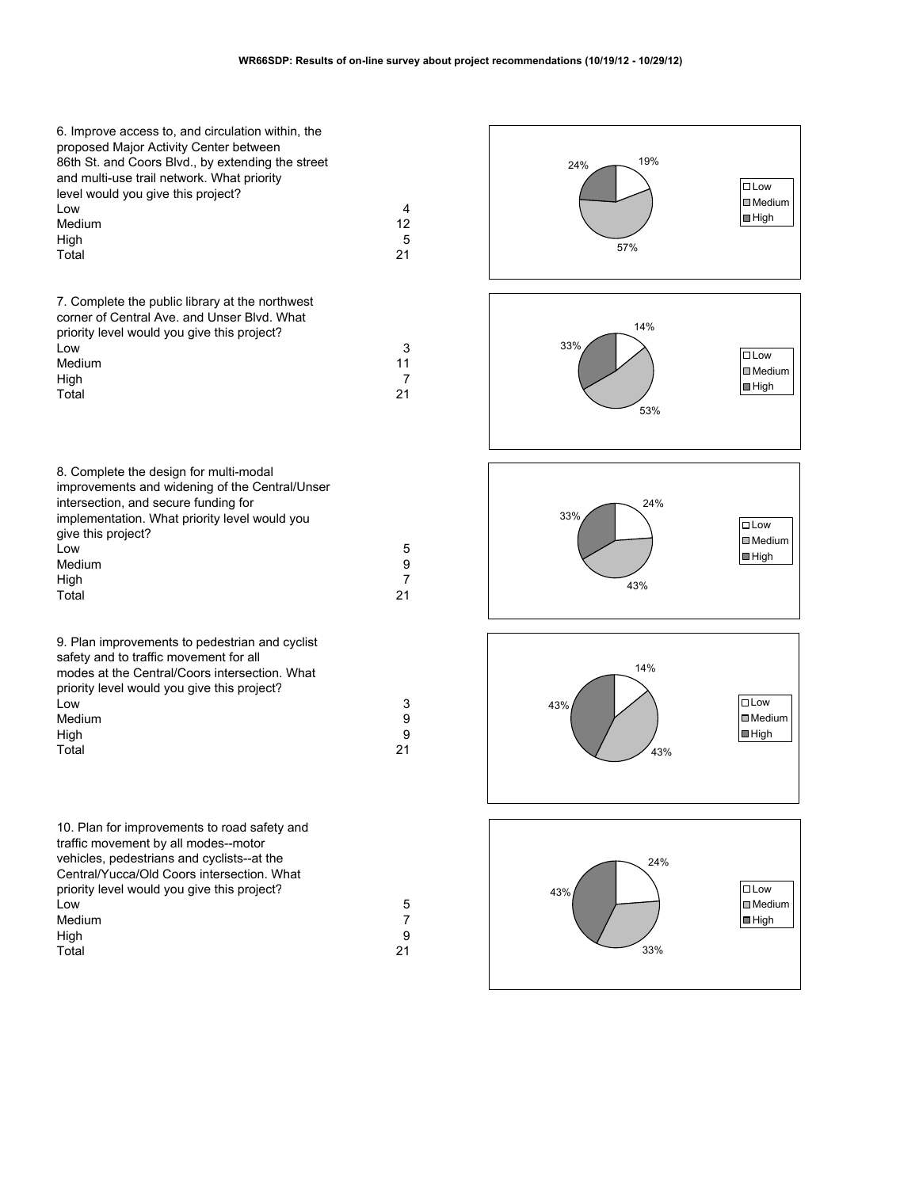| 6. Improve access to, and circulation within, the<br>proposed Major Activity Center between<br>86th St. and Coors Blvd., by extending the street<br>and multi-use trail network. What priority<br>level would you give this project?<br>Low<br>Medium<br>High<br>Total | 4<br>12<br>5<br>21              | 19%<br>24%<br>57% | $\square$ Low<br>$\Box$ Medium<br>$\blacksquare$ High         |
|------------------------------------------------------------------------------------------------------------------------------------------------------------------------------------------------------------------------------------------------------------------------|---------------------------------|-------------------|---------------------------------------------------------------|
| 7. Complete the public library at the northwest<br>corner of Central Ave. and Unser Blvd. What<br>priority level would you give this project?<br>Low<br>Medium<br>High<br>Total                                                                                        | 3<br>11<br>$\overline{7}$<br>21 | 14%<br>33%<br>53% | $\square$ Low<br>$\Box$ Medium<br>$\blacksquare$ High         |
| 8. Complete the design for multi-modal<br>improvements and widening of the Central/Unser<br>intersection, and secure funding for<br>implementation. What priority level would you<br>give this project?<br>Low<br>Medium<br>High<br>Total                              | 5<br>9<br>7<br>21               | 24%<br>33%<br>43% | $\square$ Low<br>$\blacksquare$ Medium<br>$\blacksquare$ High |
| 9. Plan improvements to pedestrian and cyclist<br>safety and to traffic movement for all<br>modes at the Central/Coors intersection. What<br>priority level would you give this project?<br>Low<br>Medium<br>High<br>Total                                             | 3<br>9<br>9<br>21               | 14%<br>43%<br>43% | $\Box$ Low<br>$\Box$ Medium<br>$\blacksquare$ High            |
| 10. Plan for improvements to road safety and<br>traffic movement by all modes--motor<br>vehicles, pedestrians and cyclists--at the<br>Central/Yucca/Old Coors intersection. What<br>priority level would you give this project?<br>Low<br>Medium<br>High<br>Total      | 5<br>$\overline{7}$<br>9<br>21  | 24%<br>43%<br>33% | $\Box$ Low<br>$\Box$ Medium<br>$\blacksquare$ High            |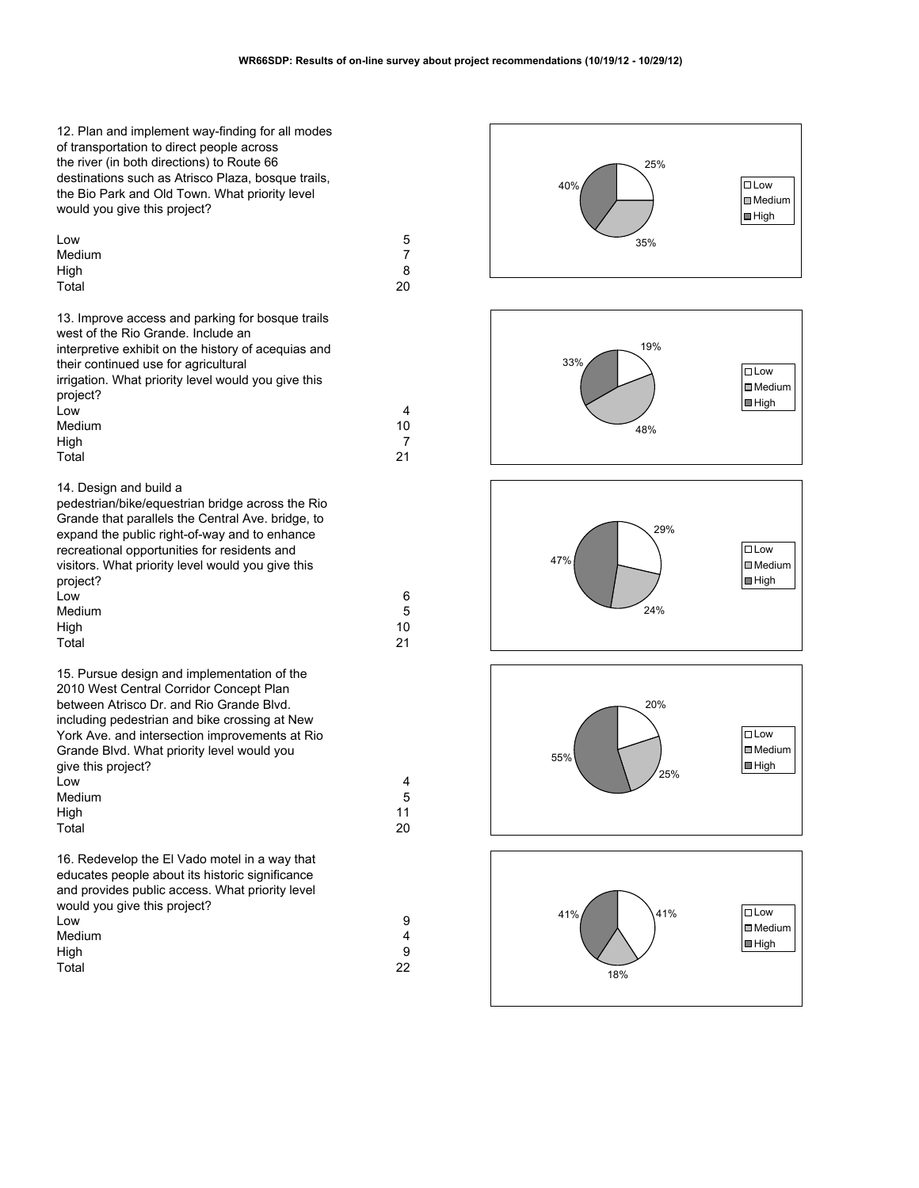| 12. Plan and implement way-finding for all modes<br>of transportation to direct people across<br>the river (in both directions) to Route 66<br>destinations such as Atrisco Plaza, bosque trails,<br>the Bio Park and Old Town. What priority level<br>would you give this project?                       |    |
|-----------------------------------------------------------------------------------------------------------------------------------------------------------------------------------------------------------------------------------------------------------------------------------------------------------|----|
| Low                                                                                                                                                                                                                                                                                                       | 5  |
| Medium                                                                                                                                                                                                                                                                                                    | 7  |
| High                                                                                                                                                                                                                                                                                                      | 8  |
| Total                                                                                                                                                                                                                                                                                                     | 20 |
| 13. Improve access and parking for bosque trails<br>west of the Rio Grande. Include an<br>interpretive exhibit on the history of acequias and<br>their continued use for agricultural<br>irrigation. What priority level would you give this<br>project?                                                  |    |
| Low                                                                                                                                                                                                                                                                                                       | 4  |
| Medium                                                                                                                                                                                                                                                                                                    | 10 |
| High                                                                                                                                                                                                                                                                                                      | 7  |
| Total                                                                                                                                                                                                                                                                                                     | 21 |
| 14. Design and build a<br>pedestrian/bike/equestrian bridge across the Rio<br>Grande that parallels the Central Ave. bridge, to<br>expand the public right-of-way and to enhance<br>recreational opportunities for residents and<br>visitors. What priority level would you give this<br>project?<br>Low  | 6  |
| Medium                                                                                                                                                                                                                                                                                                    | 5  |
| High                                                                                                                                                                                                                                                                                                      | 10 |
| Total                                                                                                                                                                                                                                                                                                     | 21 |
| 15. Pursue design and implementation of the<br>2010 West Central Corridor Concept Plan<br>between Atrisco Dr. and Rio Grande Blvd.<br>including pedestrian and bike crossing at New<br>York Ave. and intersection improvements at Rio<br>Grande Blvd. What priority level would you<br>give this project? |    |
| Low                                                                                                                                                                                                                                                                                                       | 4  |
| Medium                                                                                                                                                                                                                                                                                                    | 5  |
| High                                                                                                                                                                                                                                                                                                      | 11 |
| Total                                                                                                                                                                                                                                                                                                     | 20 |
| 16. Redevelop the El Vado motel in a way that<br>educates people about its historic significance<br>and provides public access. What priority level<br>would you give this project?                                                                                                                       |    |
| Low                                                                                                                                                                                                                                                                                                       | 9  |
| Medium                                                                                                                                                                                                                                                                                                    | 4  |
| High                                                                                                                                                                                                                                                                                                      | 9  |
| Total                                                                                                                                                                                                                                                                                                     | 22 |